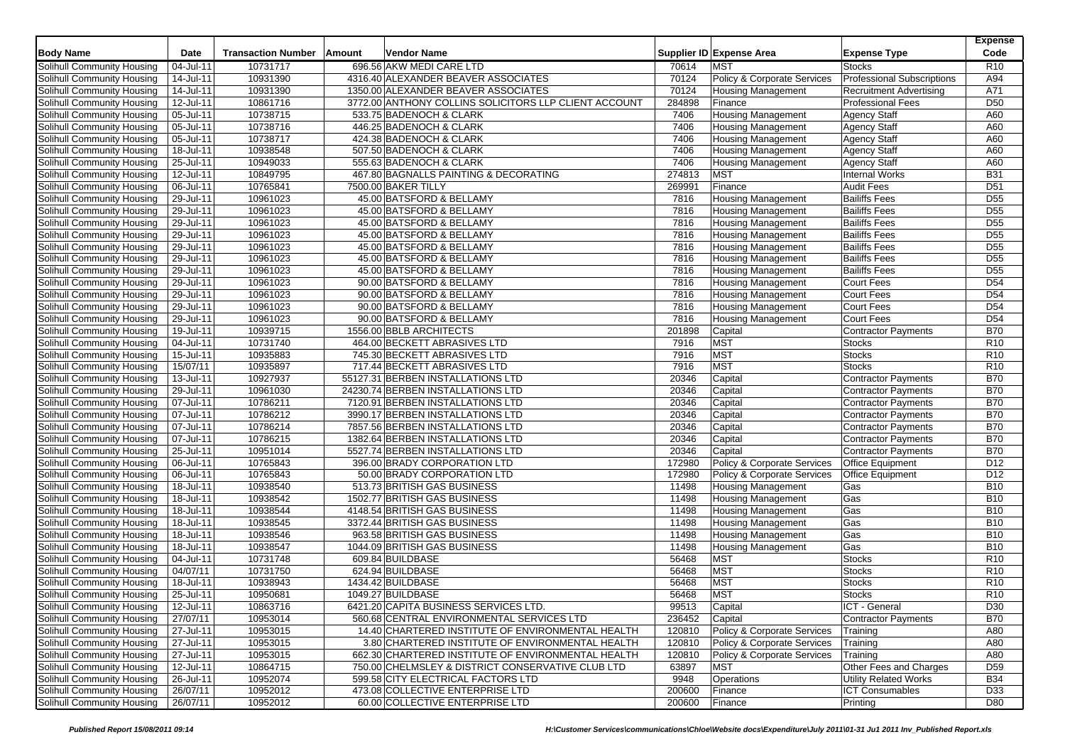| <b>Body Name</b>                                         | Date          | <b>Transaction Number</b> | Amount | Vendor Name                                           |        | Supplier ID Expense Area    | <b>Expense Type</b>               | <b>Expense</b><br>Code |
|----------------------------------------------------------|---------------|---------------------------|--------|-------------------------------------------------------|--------|-----------------------------|-----------------------------------|------------------------|
| Solihull Community Housing                               | $04 -$ Jul-11 | 10731717                  |        | 696.56 AKW MEDI CARE LTD                              | 70614  | <b>MST</b>                  | <b>Stocks</b>                     | R <sub>10</sub>        |
| Solihull Community Housing                               | 14-Jul-11     | 10931390                  |        | 4316.40 ALEXANDER BEAVER ASSOCIATES                   | 70124  | Policy & Corporate Services | <b>Professional Subscriptions</b> | A94                    |
| Solihull Community Housing                               | 14-Jul-11     | 10931390                  |        | 1350.00 ALEXANDER BEAVER ASSOCIATES                   | 70124  | <b>Housing Management</b>   | <b>Recruitment Advertising</b>    | A71                    |
| Solihull Community Housing                               | 12-Jul-11     | 10861716                  |        | 3772.00 ANTHONY COLLINS SOLICITORS LLP CLIENT ACCOUNT | 284898 | Finance                     | <b>Professional Fees</b>          | D <sub>50</sub>        |
| Solihull Community Housing                               | $05 -$ Jul-11 | 10738715                  |        | 533.75 BADENOCH & CLARK                               | 7406   | <b>Housing Management</b>   | <b>Agency Staff</b>               | A60                    |
| Solihull Community Housing                               | 05-Jul-11     | 10738716                  |        | 446.25 BADENOCH & CLARK                               | 7406   | <b>Housing Management</b>   | <b>Agency Staff</b>               | A60                    |
| Solihull Community Housing                               | 05-Jul-11     | 10738717                  |        | 424.38 BADENOCH & CLARK                               | 7406   | Housing Management          | <b>Agency Staff</b>               | A60                    |
| Solihull Community Housing                               | 18-Jul-11     | 10938548                  |        | 507.50 BADENOCH & CLARK                               | 7406   | <b>Housing Management</b>   | Agency Staff                      | A60                    |
| Solihull Community Housing                               | 25-Jul-11     | 10949033                  |        | 555.63 BADENOCH & CLARK                               | 7406   | <b>Housing Management</b>   | <b>Agency Staff</b>               | A60                    |
| Solihull Community Housing                               | 12-Jul-11     | 10849795                  |        | 467.80 BAGNALLS PAINTING & DECORATING                 | 274813 | <b>MST</b>                  | <b>Internal Works</b>             | <b>B31</b>             |
| Solihull Community Housing                               | 06-Jul-11     | 10765841                  |        | 7500.00 BAKER TILLY                                   | 269991 | Finance                     | <b>Audit Fees</b>                 | D <sub>51</sub>        |
| Solihull Community Housing                               | 29-Jul-11     | 10961023                  |        | 45.00 BATSFORD & BELLAMY                              | 7816   | <b>Housing Management</b>   | <b>Bailiffs Fees</b>              | D <sub>55</sub>        |
| <b>Solihull Community Housing</b>                        | 29-Jul-11     | 10961023                  |        | 45.00 BATSFORD & BELLAMY                              | 7816   | <b>Housing Management</b>   | <b>Bailiffs Fees</b>              | D <sub>55</sub>        |
| Solihull Community Housing                               | 29-Jul-11     | 10961023                  |        | 45.00 BATSFORD & BELLAMY                              | 7816   | Housing Management          | <b>Bailiffs Fees</b>              | D <sub>55</sub>        |
| Solihull Community Housing                               | 29-Jul-11     | 10961023                  |        | 45.00 BATSFORD & BELLAMY                              | 7816   | <b>Housing Management</b>   | <b>Bailiffs Fees</b>              | D <sub>55</sub>        |
| Solihull Community Housing                               | 29-Jul-11     | 10961023                  |        | 45.00 BATSFORD & BELLAMY                              | 7816   | <b>Housing Management</b>   | <b>Bailiffs Fees</b>              | D <sub>55</sub>        |
| Solihull Community Housing                               | 29-Jul-11     | 10961023                  |        | 45.00 BATSFORD & BELLAMY                              | 7816   | <b>Housing Management</b>   | <b>Bailiffs Fees</b>              | D <sub>55</sub>        |
| Solihull Community Housing                               | 29-Jul-11     | 10961023                  |        | 45.00 BATSFORD & BELLAMY                              | 7816   | <b>Housing Management</b>   | <b>Bailiffs Fees</b>              | D <sub>55</sub>        |
| Solihull Community Housing                               | 29-Jul-11     | 10961023                  |        | 90.00 BATSFORD & BELLAMY                              | 7816   | <b>Housing Management</b>   | <b>Court Fees</b>                 | D <sub>54</sub>        |
| Solihull Community Housing                               | 29-Jul-11     | 10961023                  |        | 90.00 BATSFORD & BELLAMY                              | 7816   | <b>Housing Management</b>   | <b>Court Fees</b>                 | D <sub>54</sub>        |
| Solihull Community Housing                               | 29-Jul-11     | 10961023                  |        | 90.00 BATSFORD & BELLAMY                              | 7816   | <b>Housing Management</b>   | <b>Court Fees</b>                 | D <sub>54</sub>        |
| Solihull Community Housing                               | 29-Jul-11     | 10961023                  |        | 90.00 BATSFORD & BELLAMY                              | 7816   | <b>Housing Management</b>   | <b>Court Fees</b>                 | D <sub>54</sub>        |
| Solihull Community Housing                               | 19-Jul-11     | 10939715                  |        | 1556.00 BBLB ARCHITECTS                               | 201898 | Capital                     | Contractor Payments               | <b>B70</b>             |
| Solihull Community Housing                               | 04-Jul-11     | 10731740                  |        | 464.00 BECKETT ABRASIVES LTD                          | 7916   | <b>MST</b>                  | <b>Stocks</b>                     | R <sub>10</sub>        |
| Solihull Community Housing                               | 15-Jul-11     | 10935883                  |        | 745.30 BECKETT ABRASIVES LTD                          | 7916   | <b>MST</b>                  | <b>Stocks</b>                     | R <sub>10</sub>        |
| Solihull Community Housing                               | 15/07/11      | 10935897                  |        | 717.44 BECKETT ABRASIVES LTD                          | 7916   | <b>MST</b>                  | <b>Stocks</b>                     | R <sub>10</sub>        |
| Solihull Community Housing                               | 13-Jul-11     | 10927937                  |        | 55127.31 BERBEN INSTALLATIONS LTD                     | 20346  | Capital                     | <b>Contractor Payments</b>        | <b>B70</b>             |
| Solihull Community Housing                               | 29-Jul-11     | 10961030                  |        | 24230.74 BERBEN INSTALLATIONS LTD                     | 20346  | Capital                     | Contractor Payments               | <b>B70</b>             |
| Solihull Community Housing                               | 07-Jul-11     | 10786211                  |        | 7120.91 BERBEN INSTALLATIONS LTD                      | 20346  | Capital                     | <b>Contractor Payments</b>        | <b>B70</b>             |
| Solihull Community Housing                               | 07-Jul-11     | 10786212                  |        | 3990.17 BERBEN INSTALLATIONS LTD                      | 20346  | Capital                     | <b>Contractor Payments</b>        | <b>B70</b>             |
| Solihull Community Housing                               | 07-Jul-11     | 10786214                  |        | 7857.56 BERBEN INSTALLATIONS LTD                      | 20346  | Capital                     | <b>Contractor Payments</b>        | <b>B70</b>             |
| Solihull Community Housing                               | 07-Jul-11     | 10786215                  |        | 1382.64 BERBEN INSTALLATIONS LTD                      | 20346  | Capital                     | <b>Contractor Payments</b>        | <b>B70</b>             |
| Solihull Community Housing                               | 25-Jul-11     | 10951014                  |        | 5527.74 BERBEN INSTALLATIONS LTD                      | 20346  | Capital                     | <b>Contractor Payments</b>        | <b>B70</b>             |
| Solihull Community Housing                               | 06-Jul-11     | 10765843                  |        | 396.00 BRADY CORPORATION LTD                          | 172980 | Policy & Corporate Services | <b>Office Equipment</b>           | D <sub>12</sub>        |
| Solihull Community Housing                               | 06-Jul-11     | 10765843                  |        | 50.00 BRADY CORPORATION LTD                           | 172980 | Policy & Corporate Services | <b>Office Equipment</b>           | D <sub>12</sub>        |
| Solihull Community Housing                               | 18-Jul-11     | 10938540                  |        | 513.73 BRITISH GAS BUSINESS                           | 11498  | <b>Housing Management</b>   | Gas                               | <b>B10</b>             |
| Solihull Community Housing                               | 18-Jul-11     | 10938542                  |        | 1502.77 BRITISH GAS BUSINESS                          | 11498  | <b>Housing Management</b>   | Gas                               | <b>B10</b>             |
| Solihull Community Housing                               | 18-Jul-11     | 10938544                  |        | 4148.54 BRITISH GAS BUSINESS                          | 11498  | Housing Management          | Gas                               | <b>B10</b>             |
| Solihull Community Housing                               | 18-Jul-11     | 10938545                  |        | 3372.44 BRITISH GAS BUSINESS                          | 11498  | Housing Management          | Gas                               | <b>B10</b>             |
| Solihull Community Housing                               | 18-Jul-11     | 10938546                  |        | 963.58 BRITISH GAS BUSINESS                           | 11498  |                             | Gas                               | <b>B10</b>             |
|                                                          |               |                           |        |                                                       |        | <b>Housing Management</b>   | Gas                               |                        |
| Solihull Community Housing<br>Solihull Community Housing | 18-Jul-11     | 10938547                  |        | 1044.09 BRITISH GAS BUSINESS<br>609.84 BUILDBASE      | 11498  | <b>Housing Management</b>   |                                   | <b>B10</b>             |
| Solihull Community Housing                               | 04-Jul-11     | 10731748                  |        |                                                       | 56468  | <b>MST</b>                  | Stocks                            | R <sub>10</sub>        |
|                                                          | 04/07/11      | 10731750                  |        | 624.94 BUILDBASE                                      | 56468  | <b>MST</b>                  | <b>Stocks</b>                     | R <sub>10</sub>        |
| Solihull Community Housing                               | 18-Jul-11     | 10938943                  |        | 1434.42 BUILDBASE                                     | 56468  | <b>MST</b>                  | <b>Stocks</b>                     | R <sub>10</sub>        |
| Solihull Community Housing                               | 25-Jul-11     | 10950681                  |        | 1049.27 BUILDBASE                                     | 56468  | <b>MST</b>                  | <b>Stocks</b>                     | R <sub>10</sub>        |
| Solihull Community Housing                               | 12-Jul-11     | 10863716                  |        | 6421.20 CAPITA BUSINESS SERVICES LTD.                 | 99513  | Capital                     | ICT - General                     | D <sub>30</sub>        |
| Solihull Community Housing                               | 27/07/11      | 10953014                  |        | 560.68 CENTRAL ENVIRONMENTAL SERVICES LTD             | 236452 | Capital                     | <b>Contractor Payments</b>        | <b>B70</b>             |
| Solihull Community Housing                               | 27-Jul-11     | 10953015                  |        | 14.40 CHARTERED INSTITUTE OF ENVIRONMENTAL HEALTH     | 120810 | Policy & Corporate Services | Training                          | A80                    |
| Solihull Community Housing                               | 27-Jul-11     | 10953015                  |        | 3.80 CHARTERED INSTITUTE OF ENVIRONMENTAL HEALTH      | 120810 | Policy & Corporate Services | Training                          | A80                    |
| Solihull Community Housing                               | 27-Jul-11     | 10953015                  |        | 662.30 CHARTERED INSTITUTE OF ENVIRONMENTAL HEALTH    | 120810 | Policy & Corporate Services | $\overline{\mathsf{T}}$ raining   | A80                    |
| Solihull Community Housing                               | 12-Jul-11     | 10864715                  |        | 750.00 CHELMSLEY & DISTRICT CONSERVATIVE CLUB LTD     | 63897  | <b>MST</b>                  | Other Fees and Charges            | D <sub>59</sub>        |
| Solihull Community Housing                               | 26-Jul-11     | 10952074                  |        | 599.58 CITY ELECTRICAL FACTORS LTD                    | 9948   | Operations                  | <b>Utility Related Works</b>      | <b>B34</b>             |
| Solihull Community Housing                               | 26/07/11      | 10952012                  |        | 473.08 COLLECTIVE ENTERPRISE LTD                      | 200600 | Finance                     | <b>ICT Consumables</b>            | D33                    |
| Solihull Community Housing                               | 26/07/11      | 10952012                  |        | 60.00 COLLECTIVE ENTERPRISE LTD                       | 200600 | Finance                     | Printing                          | D80                    |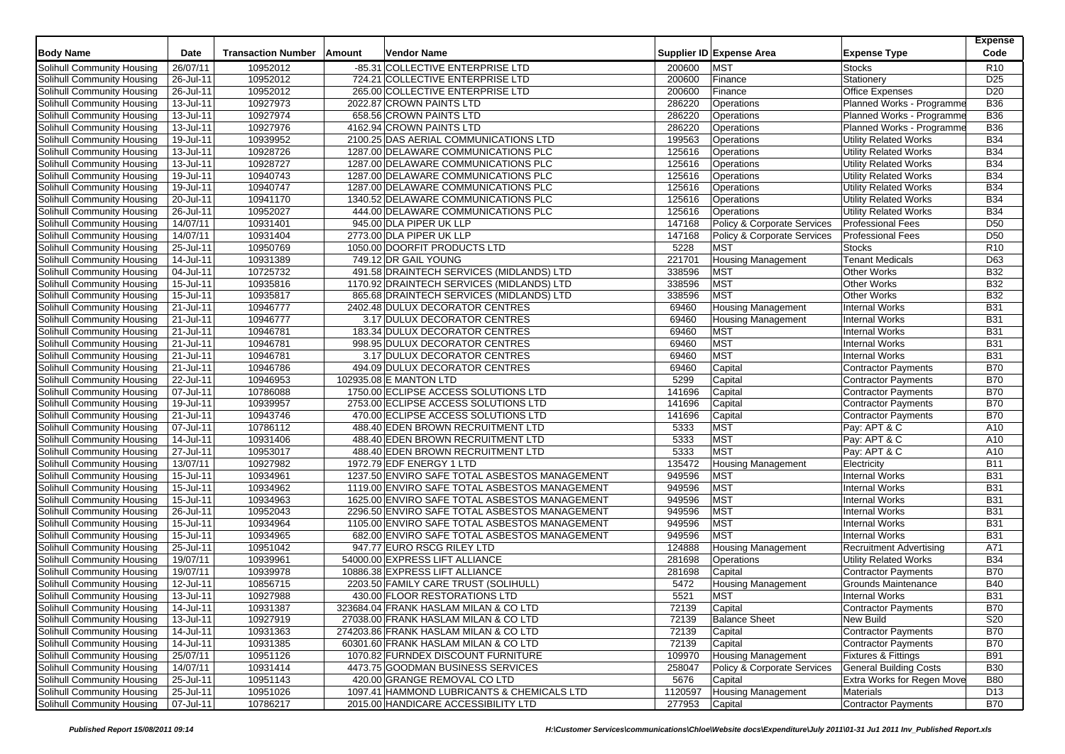| <b>Body Name</b>           | Date                    | <b>Transaction Number</b> | Amount | Vendor Name                                   |         | Supplier ID Expense Area    | <b>Expense Type</b>            | <b>Expense</b><br>Code |
|----------------------------|-------------------------|---------------------------|--------|-----------------------------------------------|---------|-----------------------------|--------------------------------|------------------------|
|                            |                         |                           |        |                                               |         |                             |                                |                        |
| Solihull Community Housing | 26/07/11                | 10952012                  |        | -85.31 COLLECTIVE ENTERPRISE LTD              | 200600  | <b>MST</b>                  | <b>Stocks</b>                  | R <sub>10</sub>        |
| Solihull Community Housing | 26-Jul-11               | 10952012                  |        | 724.21 COLLECTIVE ENTERPRISE LTD              | 200600  | Finance                     | Stationery                     | D <sub>25</sub>        |
| Solihull Community Housing | 26-Jul-11               | 10952012                  |        | 265.00 COLLECTIVE ENTERPRISE LTD              | 200600  | Finance                     | <b>Office Expenses</b>         | D20                    |
| Solihull Community Housing | 13-Jul-11               | 10927973                  |        | 2022.87 CROWN PAINTS LTD                      | 286220  | Operations                  | Planned Works - Programme      | <b>B36</b>             |
| Solihull Community Housing | $13 -$ Jul-11           | 10927974                  |        | 658.56 CROWN PAINTS LTD                       | 286220  | Operations                  | Planned Works - Programme      | <b>B36</b>             |
| Solihull Community Housing | 13-Jul-11               | 10927976                  |        | 4162.94 CROWN PAINTS LTD                      | 286220  | Operations                  | Planned Works - Programme      | <b>B36</b>             |
| Solihull Community Housing | 19-Jul-11               | 10939952                  |        | 2100.25 DAS AERIAL COMMUNICATIONS LTD         | 199563  | Operations                  | <b>Utility Related Works</b>   | <b>B34</b>             |
| Solihull Community Housing | 13-Jul-11               | 10928726                  |        | 1287.00 DELAWARE COMMUNICATIONS PLC           | 125616  | Operations                  | <b>Utility Related Works</b>   | <b>B34</b>             |
| Solihull Community Housing | 13-Jul-11               | 10928727                  |        | 1287.00 DELAWARE COMMUNICATIONS PLC           | 125616  | Operations                  | Utility Related Works          | <b>B34</b>             |
| Solihull Community Housing | 19-Jul-11               | 10940743                  |        | 1287.00 DELAWARE COMMUNICATIONS PLC           | 125616  | Operations                  | Utility Related Works          | <b>B34</b>             |
| Solihull Community Housing | 19-Jul-11               | 10940747                  |        | 1287.00 DELAWARE COMMUNICATIONS PLC           | 125616  | Operations                  | <b>Utility Related Works</b>   | <b>B34</b>             |
| Solihull Community Housing | 20-Jul-11               | 10941170                  |        | 1340.52 DELAWARE COMMUNICATIONS PLC           | 125616  | Operations                  | <b>Utility Related Works</b>   | <b>B34</b>             |
| Solihull Community Housing | 26-Jul-11               | 10952027                  |        | 444.00 DELAWARE COMMUNICATIONS PLC            | 125616  | Operations                  | <b>Utility Related Works</b>   | <b>B34</b>             |
| Solihull Community Housing | 14/07/11                | 10931401                  |        | 945.00 DLA PIPER UK LLP                       | 147168  | Policy & Corporate Services | <b>Professional Fees</b>       | D <sub>50</sub>        |
| Solihull Community Housing | 14/07/11                | 10931404                  |        | 2773.00 DLA PIPER UK LLP                      | 147168  | Policy & Corporate Services | <b>Professional Fees</b>       | D <sub>50</sub>        |
| Solihull Community Housing | 25-Jul-11               | 10950769                  |        | 1050.00 DOORFIT PRODUCTS LTD                  | 5228    | <b>MST</b>                  | <b>Stocks</b>                  | R <sub>10</sub>        |
| Solihull Community Housing | 14-Jul-11               | 10931389                  |        | 749.12 DR GAIL YOUNG                          | 221701  | <b>Housing Management</b>   | <b>Tenant Medicals</b>         | D63                    |
| Solihull Community Housing | $\overline{04}$ -Jul-11 | 10725732                  |        | 491.58 DRAINTECH SERVICES (MIDLANDS) LTD      | 338596  | <b>MST</b>                  | <b>Other Works</b>             | <b>B32</b>             |
| Solihull Community Housing | 15-Jul-11               | 10935816                  |        | 1170.92 DRAINTECH SERVICES (MIDLANDS) LTD     | 338596  | <b>MST</b>                  | <b>Other Works</b>             | <b>B32</b>             |
| Solihull Community Housing | 15-Jul-11               | 10935817                  |        | 865.68 DRAINTECH SERVICES (MIDLANDS) LTD      | 338596  | <b>MST</b>                  | <b>Other Works</b>             | <b>B32</b>             |
| Solihull Community Housing | 21-Jul-11               | 10946777                  |        | 2402.48 DULUX DECORATOR CENTRES               | 69460   | <b>Housing Management</b>   | <b>Internal Works</b>          | <b>B31</b>             |
| Solihull Community Housing | 21-Jul-11               | 10946777                  |        | 3.17 DULUX DECORATOR CENTRES                  | 69460   | <b>Housing Management</b>   | <b>Internal Works</b>          | <b>B31</b>             |
| Solihull Community Housing | 21-Jul-11               | 10946781                  |        | 183.34 DULUX DECORATOR CENTRES                | 69460   | <b>MST</b>                  | <b>Internal Works</b>          | <b>B31</b>             |
| Solihull Community Housing | 21-Jul-11               | 10946781                  |        | 998.95 DULUX DECORATOR CENTRES                | 69460   | <b>MST</b>                  | <b>Internal Works</b>          | <b>B31</b>             |
| Solihull Community Housing | $\overline{21}$ -Jul-11 | 10946781                  |        | 3.17 DULUX DECORATOR CENTRES                  | 69460   | <b>MST</b>                  | <b>Internal Works</b>          | <b>B31</b>             |
| Solihull Community Housing | 21-Jul-11               | 10946786                  |        | 494.09 DULUX DECORATOR CENTRES                | 69460   | Capital                     | <b>Contractor Payments</b>     | <b>B70</b>             |
| Solihull Community Housing | 22-Jul-11               | 10946953                  |        | 102935.08 E MANTON LTD                        | 5299    | Capital                     | <b>Contractor Payments</b>     | <b>B70</b>             |
| Solihull Community Housing | $07 -$ Jul-11           | 10786088                  |        | 1750.00 ECLIPSE ACCESS SOLUTIONS LTD          | 141696  | Capital                     | <b>Contractor Payments</b>     | <b>B70</b>             |
| Solihull Community Housing | 19-Jul-11               | 10939957                  |        | 2753.00 ECLIPSE ACCESS SOLUTIONS LTD          | 141696  | Capital                     | <b>Contractor Payments</b>     | <b>B70</b>             |
| Solihull Community Housing | 21-Jul-11               | 10943746                  |        | 470.00 ECLIPSE ACCESS SOLUTIONS LTD           | 141696  | Capital                     | Contractor Payments            | <b>B70</b>             |
| Solihull Community Housing | 07-Jul-11               | 10786112                  |        | 488.40 EDEN BROWN RECRUITMENT LTD             | 5333    | <b>MST</b>                  | Pay: APT & C                   | A10                    |
| Solihull Community Housing | 14-Jul-11               | 10931406                  |        | 488.40 EDEN BROWN RECRUITMENT LTD             | 5333    | <b>MST</b>                  | Pay: APT & C                   | A10                    |
| Solihull Community Housing | 27-Jul-11               | 10953017                  |        | 488.40 EDEN BROWN RECRUITMENT LTD             | 5333    | <b>MST</b>                  | Pay: APT & C                   | A10                    |
| Solihull Community Housing | 13/07/11                | 10927982                  |        | 1972.79 EDF ENERGY 1 LTD                      | 135472  | <b>Housing Management</b>   | Electricity                    | <b>B11</b>             |
| Solihull Community Housing | $\overline{15}$ -Jul-11 | 10934961                  |        | 1237.50 ENVIRO SAFE TOTAL ASBESTOS MANAGEMENT | 949596  | <b>MST</b>                  | <b>Internal Works</b>          | <b>B31</b>             |
| Solihull Community Housing | 15-Jul-11               | 10934962                  |        | 1119.00 ENVIRO SAFE TOTAL ASBESTOS MANAGEMENT | 949596  | <b>MST</b>                  | <b>Internal Works</b>          | <b>B31</b>             |
| Solihull Community Housing | 15-Jul-11               | 10934963                  |        | 1625.00 ENVIRO SAFE TOTAL ASBESTOS MANAGEMENT | 949596  | <b>MST</b>                  | <b>Internal Works</b>          | <b>B31</b>             |
| Solihull Community Housing | 26-Jul-11               | 10952043                  |        | 2296.50 ENVIRO SAFE TOTAL ASBESTOS MANAGEMENT | 949596  | <b>MST</b>                  | <b>Internal Works</b>          | <b>B31</b>             |
| Solihull Community Housing | 15-Jul-11               | 10934964                  |        | 1105.00 ENVIRO SAFE TOTAL ASBESTOS MANAGEMENT | 949596  | <b>MST</b>                  | <b>Internal Works</b>          | <b>B31</b>             |
| Solihull Community Housing | 15-Jul-11               | 10934965                  |        | 682.00 ENVIRO SAFE TOTAL ASBESTOS MANAGEMENT  | 949596  | <b>MST</b>                  | <b>Internal Works</b>          | <b>B31</b>             |
| Solihull Community Housing | 25-Jul-11               | 10951042                  |        | 947.77 EURO RSCG RILEY LTD                    | 124888  | <b>Housing Management</b>   | <b>Recruitment Advertising</b> | A71                    |
| Solihull Community Housing | 19/07/11                | 10939961                  |        | 54000.00 EXPRESS LIFT ALLIANCE                | 281698  | Operations                  | <b>Utility Related Works</b>   | <b>B34</b>             |
| Solihull Community Housing | 19/07/11                | 10939978                  |        | 10886.38 EXPRESS LIFT ALLIANCE                | 281698  | Capital                     | <b>Contractor Payments</b>     | <b>B70</b>             |
| Solihull Community Housing | 12-Jul-11               | 10856715                  |        | 2203.50 FAMILY CARE TRUST (SOLIHULL)          | 5472    | <b>Housing Management</b>   | <b>Grounds Maintenance</b>     | <b>B40</b>             |
| Solihull Community Housing | 13-Jul-11               | 10927988                  |        | 430.00 FLOOR RESTORATIONS LTD                 | 5521    | <b>MST</b>                  | <b>Internal Works</b>          | <b>B31</b>             |
| Solihull Community Housing | 14-Jul-11               | 10931387                  |        | 323684.04 FRANK HASLAM MILAN & CO LTD         | 72139   | Capital                     | Contractor Payments            | <b>B70</b>             |
| Solihull Community Housing | 13-Jul-11               | 10927919                  |        | 27038.00 FRANK HASLAM MILAN & CO LTD          | 72139   | <b>Balance Sheet</b>        | New Build                      | S20                    |
| Solihull Community Housing | 14-Jul-11               | 10931363                  |        | 274203.86 FRANK HASLAM MILAN & CO LTD         | 72139   | Capital                     | <b>Contractor Payments</b>     | <b>B70</b>             |
| Solihull Community Housing | 14-Jul-11               | 10931385                  |        | 60301.60 FRANK HASLAM MILAN & CO LTD          | 72139   | Capital                     | <b>Contractor Payments</b>     | <b>B70</b>             |
| Solihull Community Housing | 25/07/11                | 10951126                  |        | 1070.82 FURNDEX DISCOUNT FURNITURE            | 109970  | <b>Housing Management</b>   | <b>Fixtures &amp; Fittings</b> | <b>B91</b>             |
| Solihull Community Housing | 14/07/11                | 10931414                  |        | 4473.75 GOODMAN BUSINESS SERVICES             | 258047  | Policy & Corporate Services | <b>General Building Costs</b>  | <b>B30</b>             |
| Solihull Community Housing | 25-Jul-11               | 10951143                  |        | 420.00 GRANGE REMOVAL CO LTD                  | 5676    | Capital                     | Extra Works for Regen Move     | <b>B80</b>             |
| Solihull Community Housing | 25-Jul-11               | 10951026                  |        | 1097.41 HAMMOND LUBRICANTS & CHEMICALS LTD    | 1120597 | <b>Housing Management</b>   | <b>Materials</b>               | D <sub>13</sub>        |
| Solihull Community Housing | 07-Jul-11               | 10786217                  |        | 2015.00 HANDICARE ACCESSIBILITY LTD           | 277953  | Capital                     | Contractor Payments            | <b>B70</b>             |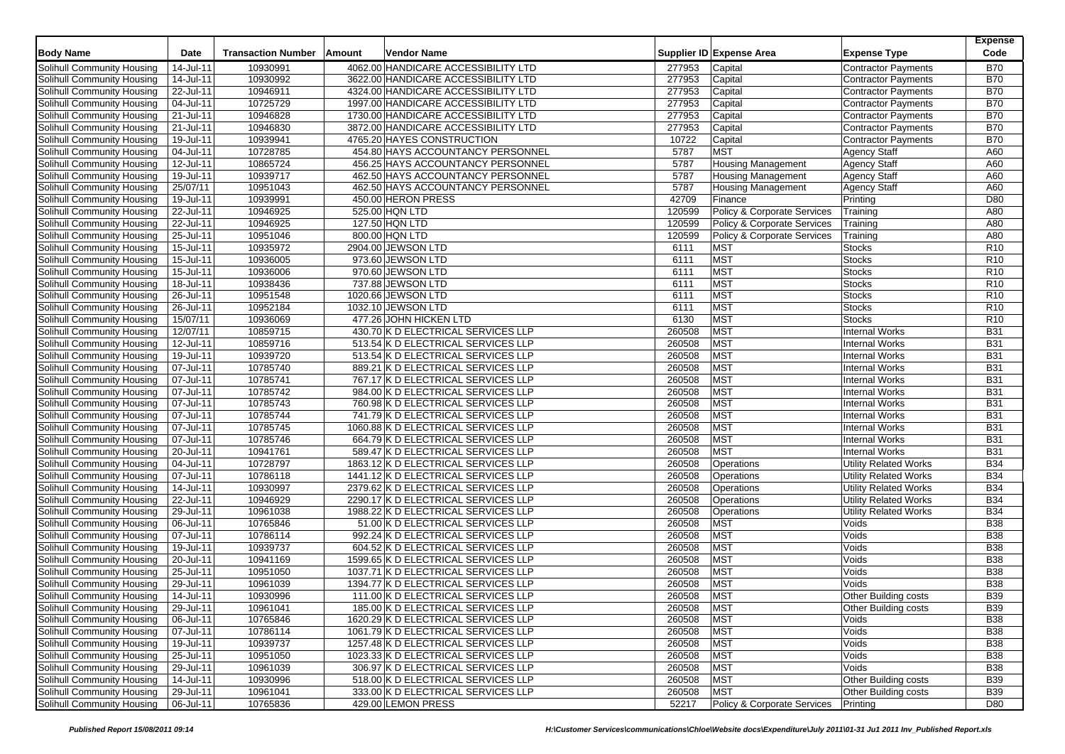|                                                          |                           |                           |                                                                            |        |                             |                              | <b>Expense</b>           |
|----------------------------------------------------------|---------------------------|---------------------------|----------------------------------------------------------------------------|--------|-----------------------------|------------------------------|--------------------------|
| <b>Body Name</b>                                         | Date                      | <b>Transaction Number</b> | Vendor Name<br>Amount                                                      |        | Supplier ID Expense Area    | <b>Expense Type</b>          | Code                     |
| Solihull Community Housing                               | 14-Jul-11                 | 10930991                  | 4062.00 HANDICARE ACCESSIBILITY LTD                                        | 277953 | Capital                     | <b>Contractor Payments</b>   | <b>B70</b>               |
| Solihull Community Housing                               | 14-Jul-11                 | 10930992                  | 3622.00 HANDICARE ACCESSIBILITY LTD                                        | 277953 | Capital                     | <b>Contractor Payments</b>   | <b>B70</b>               |
| Solihull Community Housing                               | 22-Jul-11                 | 10946911                  | 4324.00 HANDICARE ACCESSIBILITY LTD                                        | 277953 | Capital                     | <b>Contractor Payments</b>   | <b>B70</b>               |
| Solihull Community Housing                               | 04-Jul-11                 | 10725729                  | 1997.00 HANDICARE ACCESSIBILITY LTD                                        | 277953 | Capital                     | <b>Contractor Payments</b>   | <b>B70</b>               |
| Solihull Community Housing                               | 21-Jul-11                 | 10946828                  | 1730.00 HANDICARE ACCESSIBILITY LTD                                        | 277953 | Capital                     | <b>Contractor Payments</b>   | <b>B70</b>               |
| Solihull Community Housing                               | 21-Jul-11                 | 10946830                  | 3872.00 HANDICARE ACCESSIBILITY LTD                                        | 277953 | Capital                     | <b>Contractor Payments</b>   | <b>B70</b>               |
| Solihull Community Housing                               | 19-Jul-11                 | 10939941                  | 4765.20 HAYES CONSTRUCTION                                                 | 10722  | Capital                     | <b>Contractor Payments</b>   | <b>B70</b>               |
| Solihull Community Housing                               | 04-Jul-11                 | 10728785                  | 454.80 HAYS ACCOUNTANCY PERSONNEL                                          | 5787   | <b>MST</b>                  | <b>Agency Staff</b>          | A60                      |
| Solihull Community Housing                               | 12-Jul-11                 | 10865724                  | 456.25 HAYS ACCOUNTANCY PERSONNEL                                          | 5787   | <b>Housing Management</b>   | <b>Agency Staff</b>          | A60                      |
| Solihull Community Housing                               | 19-Jul-11                 | 10939717                  | 462.50 HAYS ACCOUNTANCY PERSONNEL                                          | 5787   | <b>Housing Management</b>   | <b>Agency Staff</b>          | A60                      |
| Solihull Community Housing                               | 25/07/11                  | 10951043                  | 462.50 HAYS ACCOUNTANCY PERSONNEL                                          | 5787   | <b>Housing Management</b>   | <b>Agency Staff</b>          | A60                      |
| Solihull Community Housing                               | 19-Jul-11                 | 10939991                  | 450.00 HERON PRESS                                                         | 42709  | Finance                     | Printing                     | D80                      |
| Solihull Community Housing                               | 22-Jul-11                 | 10946925                  | 525.00 HQN LTD                                                             | 120599 | Policy & Corporate Services | Training                     | A80                      |
| Solihull Community Housing                               | 22-Jul-11                 | 10946925                  | 127.50 HQN LTD                                                             | 120599 | Policy & Corporate Services | Training                     | A80                      |
| Solihull Community Housing                               | 25-Jul-11                 | 10951046                  | 800.00 HQN LTD                                                             | 120599 | Policy & Corporate Services | Training                     | A80                      |
| Solihull Community Housing                               | 15-Jul-11                 | 10935972                  | 2904.00 JEWSON LTD                                                         | 6111   | <b>MST</b>                  | <b>Stocks</b>                | R <sub>10</sub>          |
| Solihull Community Housing                               | 15-Jul-11                 | 10936005                  | 973.60 JEWSON LTD                                                          | 6111   | <b>MST</b>                  | <b>Stocks</b>                | R <sub>10</sub>          |
| Solihull Community Housing                               | 15-Jul-11                 | 10936006                  | 970.60 JEWSON LTD                                                          | 6111   | <b>MST</b>                  | <b>Stocks</b>                | R <sub>10</sub>          |
| Solihull Community Housing                               | 18-Jul-11                 | 10938436                  | 737.88 JEWSON LTD                                                          | 6111   | <b>MST</b>                  | <b>Stocks</b>                | R <sub>10</sub>          |
| Solihull Community Housing                               | 26-Jul-11                 | 10951548                  | 1020.66 JEWSON LTD                                                         | 6111   | <b>MST</b>                  | <b>Stocks</b>                | R <sub>10</sub>          |
| Solihull Community Housing                               | 26-Jul-11                 | 10952184                  | 1032.10 JEWSON LTD                                                         | 6111   | <b>MST</b>                  | <b>Stocks</b>                | R <sub>10</sub>          |
| Solihull Community Housing                               | 15/07/11                  | 10936069                  | 477.26 JOHN HICKEN LTD                                                     | 6130   | <b>MST</b>                  | <b>Stocks</b>                | R <sub>10</sub>          |
| Solihull Community Housing                               | 12/07/11                  | 10859715                  | 430.70 K D ELECTRICAL SERVICES LLP                                         | 260508 | <b>MST</b>                  | <b>Internal Works</b>        | <b>B31</b>               |
| Solihull Community Housing                               | 12-Jul-11                 | 10859716                  | 513.54 K D ELECTRICAL SERVICES LLP                                         | 260508 | <b>MST</b>                  | <b>Internal Works</b>        | <b>B31</b>               |
| Solihull Community Housing                               | 19-Jul-11                 | 10939720                  | 513.54 K D ELECTRICAL SERVICES LLP                                         | 260508 | <b>MST</b>                  | <b>Internal Works</b>        | <b>B31</b>               |
| Solihull Community Housing                               | 07-Jul-11                 | 10785740                  | 889.21 K D ELECTRICAL SERVICES LLP                                         | 260508 | <b>MST</b>                  | <b>Internal Works</b>        | <b>B31</b>               |
| <b>Solihull Community Housing</b>                        | 07-Jul-11                 | 10785741                  | 767.17 K D ELECTRICAL SERVICES LLP                                         | 260508 | <b>MST</b>                  | <b>Internal Works</b>        | <b>B31</b>               |
| Solihull Community Housing                               | 07-Jul-11                 | 10785742                  | 984.00 K D ELECTRICAL SERVICES LLP                                         | 260508 | <b>MST</b>                  | <b>Internal Works</b>        | <b>B31</b>               |
| Solihull Community Housing                               | 07-Jul-11                 | 10785743                  | 760.98 K D ELECTRICAL SERVICES LLP                                         | 260508 | <b>MST</b>                  | <b>Internal Works</b>        | <b>B31</b>               |
| Solihull Community Housing                               | 07-Jul-11                 | 10785744                  | 741.79 K D ELECTRICAL SERVICES LLP                                         | 260508 | <b>MST</b>                  | <b>Internal Works</b>        | <b>B31</b>               |
| Solihull Community Housing                               | 07-Jul-11                 | 10785745                  | 1060.88 K D ELECTRICAL SERVICES LLP                                        | 260508 | <b>MST</b>                  | <b>Internal Works</b>        | <b>B31</b>               |
| Solihull Community Housing                               | 07-Jul-11                 | 10785746                  | 664.79 K D ELECTRICAL SERVICES LLP                                         | 260508 | <b>MST</b>                  | <b>Internal Works</b>        | <b>B31</b>               |
| Solihull Community Housing                               | 20-Jul-11                 | 10941761                  | 589.47 K D ELECTRICAL SERVICES LLP                                         | 260508 | <b>MST</b>                  | <b>Internal Works</b>        | <b>B31</b>               |
| <b>Solihull Community Housing</b>                        | 04-Jul-11                 | 10728797                  | 1863.12 K D ELECTRICAL SERVICES LLP                                        | 260508 | Operations                  | Utility Related Works        | <b>B34</b>               |
| Solihull Community Housing                               | 07-Jul-11                 | 10786118                  | 1441.12 K D ELECTRICAL SERVICES LLP                                        | 260508 | Operations                  | Utility Related Works        | <b>B34</b>               |
| Solihull Community Housing                               | 14-Jul-11                 | 10930997                  | 2379.62 K D ELECTRICAL SERVICES LLP                                        | 260508 | Operations                  | <b>Utility Related Works</b> | <b>B34</b>               |
| Solihull Community Housing                               | 22-Jul-11                 | 10946929                  | 2290.17 K D ELECTRICAL SERVICES LLP                                        | 260508 | Operations                  | <b>Utility Related Works</b> | <b>B34</b>               |
| Solihull Community Housing                               | 29-Jul-11                 | 10961038                  | 1988.22 K D ELECTRICAL SERVICES LLP                                        | 260508 | Operations                  | <b>Utility Related Works</b> | <b>B34</b>               |
| Solihull Community Housing                               | 06-Jul-11                 | 10765846                  | 51.00 K D ELECTRICAL SERVICES LLP                                          | 260508 | <b>MST</b>                  | Voids                        | <b>B38</b>               |
| Solihull Community Housing                               | 07-Jul-11                 | 10786114                  | 992.24 K D ELECTRICAL SERVICES LLP                                         | 260508 | <b>MST</b>                  | Voids                        | <b>B38</b>               |
| Solihull Community Housing                               | 19-Jul-11                 | 10939737                  | 604.52 K D ELECTRICAL SERVICES LLP                                         | 260508 | <b>MST</b>                  | Voids                        | <b>B38</b>               |
| Solihull Community Housing                               | 20-Jul-11                 | 10941169                  | 1599.65 K D ELECTRICAL SERVICES LLP                                        | 260508 | <b>MST</b>                  | Voids                        | <b>B38</b>               |
| Solihull Community Housing                               | 25-Jul-11                 | 10951050                  | 1037.71 K D ELECTRICAL SERVICES LLP                                        | 260508 | <b>MST</b>                  | Voids                        | <b>B38</b>               |
| Solihull Community Housing                               | 29-Jul-11                 | 10961039                  | 1394.77 K D ELECTRICAL SERVICES LLP                                        | 260508 | <b>MST</b>                  | Voids                        | <b>B</b> 38              |
| Solihull Community Housing                               | 14-Jul-11                 | 10930996                  | 111.00 K D ELECTRICAL SERVICES LLP                                         | 260508 | <b>MST</b>                  | Other Building costs         | <b>B39</b>               |
| Solihull Community Housing                               | 29-Jul-11                 | 10961041                  | 185.00 K D ELECTRICAL SERVICES LLP                                         | 260508 | <b>MST</b>                  | <b>Other Building costs</b>  | <b>B39</b>               |
| Solihull Community Housing                               | 06-Jul-11                 | 10765846                  | 1620.29 K D ELECTRICAL SERVICES LLP                                        | 260508 | <b>MST</b>                  | Voids                        | <b>B38</b>               |
| Solihull Community Housing<br>Solihull Community Housing | 07-Jul-11                 | 10786114                  | 1061.79 K D ELECTRICAL SERVICES LLP<br>1257.48 K D ELECTRICAL SERVICES LLP | 260508 | <b>MST</b>                  | Voids                        | <b>B38</b>               |
|                                                          | 19-Jul-11<br>25-Jul-11    | 10939737                  |                                                                            | 260508 | <b>MST</b>                  | Voids                        | <b>B38</b>               |
| Solihull Community Housing                               | 29-Jul-11                 | 10951050<br>10961039      | 1023.33 K D ELECTRICAL SERVICES LLP<br>306.97 K D ELECTRICAL SERVICES LLP  | 260508 | <b>MST</b><br><b>MST</b>    | Voids<br>Voids               | <b>B38</b><br><b>B38</b> |
| Solihull Community Housing                               |                           |                           |                                                                            | 260508 |                             |                              |                          |
| Solihull Community Housing<br>Solihull Community Housing | 14-Jul-11<br>$29$ -Jul-11 | 10930996                  | 518.00 K D ELECTRICAL SERVICES LLP                                         | 260508 | <b>MST</b><br><b>MST</b>    | <b>Other Building costs</b>  | <b>B39</b>               |
|                                                          |                           | 10961041                  | 333.00 K D ELECTRICAL SERVICES LLP                                         | 260508 |                             | <b>Other Building costs</b>  | <b>B39</b>               |
| Solihull Community Housing                               | 06-Jul-11                 | 10765836                  | 429.00 LEMON PRESS                                                         | 52217  | Policy & Corporate Services | Printing                     | D80                      |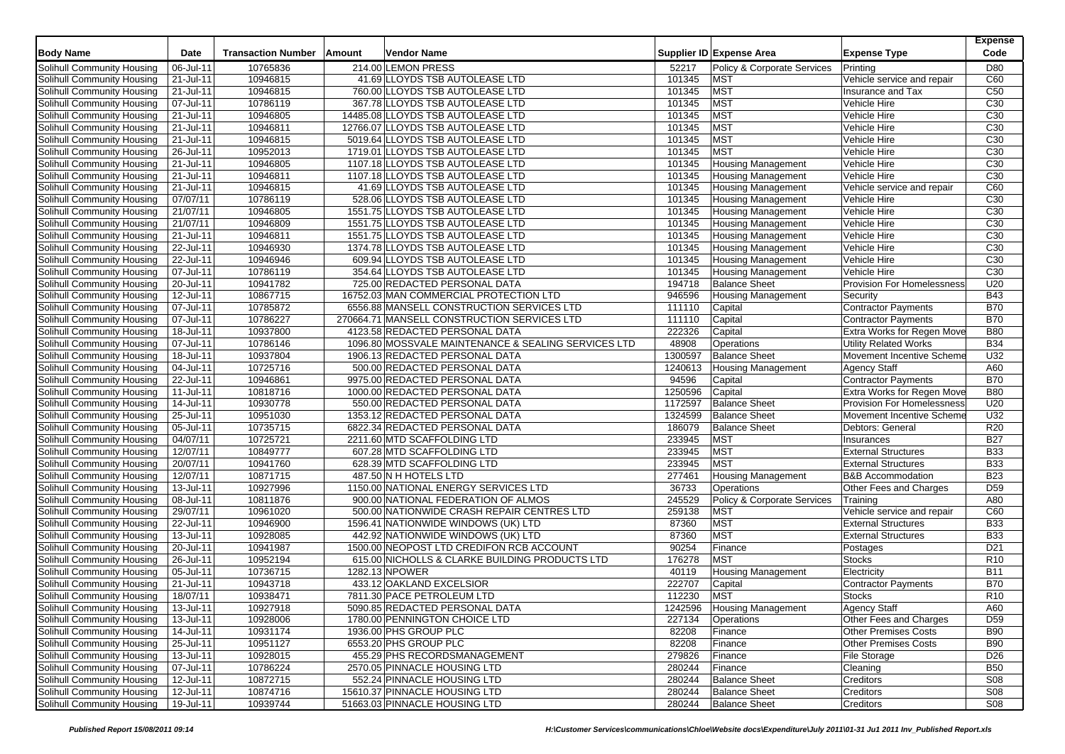| <b>Body Name</b>           | Date                    | <b>Transaction Number</b> | Amount | Vendor Name                                         |         | Supplier ID Expense Area    | <b>Expense Type</b>               | <b>Expense</b><br>Code |
|----------------------------|-------------------------|---------------------------|--------|-----------------------------------------------------|---------|-----------------------------|-----------------------------------|------------------------|
| Solihull Community Housing | 06-Jul-11               | 10765836                  |        | 214.00 LEMON PRESS                                  | 52217   | Policy & Corporate Services | Printing                          | D80                    |
| Solihull Community Housing | 21-Jul-11               | 10946815                  |        | 41.69 LLOYDS TSB AUTOLEASE LTD                      | 101345  | <b>MST</b>                  | Vehicle service and repair        | C60                    |
| Solihull Community Housing | 21-Jul-11               | 10946815                  |        | 760.00 LLOYDS TSB AUTOLEASE LTD                     | 101345  | <b>MST</b>                  | Insurance and Tax                 | C50                    |
| Solihull Community Housing | 07-Jul-11               | 10786119                  |        | 367.78 LLOYDS TSB AUTOLEASE LTD                     | 101345  | <b>MST</b>                  | Vehicle Hire                      | C <sub>30</sub>        |
| Solihull Community Housing | 21-Jul-11               | 10946805                  |        | 14485.08 LLOYDS TSB AUTOLEASE LTD                   | 101345  | <b>MST</b>                  | Vehicle Hire                      | C <sub>30</sub>        |
| Solihull Community Housing | $\overline{21}$ -Jul-11 | 10946811                  |        | 12766.07 LLOYDS TSB AUTOLEASE LTD                   | 101345  | <b>MST</b>                  | Vehicle Hire                      | C <sub>30</sub>        |
| Solihull Community Housing | 21-Jul-11               | 10946815                  |        | 5019.64 LLOYDS TSB AUTOLEASE LTD                    | 101345  | <b>MST</b>                  | <b>Vehicle Hire</b>               | C <sub>30</sub>        |
| Solihull Community Housing | 26-Jul-11               | 10952013                  |        | 1719.01 LLOYDS TSB AUTOLEASE LTD                    | 101345  | <b>MST</b>                  | Vehicle Hire                      | C <sub>30</sub>        |
| Solihull Community Housing | 21-Jul-11               | 10946805                  |        | 1107.18 LLOYDS TSB AUTOLEASE LTD                    | 101345  | <b>Housing Management</b>   | Vehicle Hire                      | C <sub>30</sub>        |
| Solihull Community Housing | 21-Jul-11               | 10946811                  |        | 1107.18 LLOYDS TSB AUTOLEASE LTD                    | 101345  | <b>Housing Management</b>   | Vehicle Hire                      | C30                    |
| Solihull Community Housing | 21-Jul-11               | 10946815                  |        | 41.69 LLOYDS TSB AUTOLEASE LTD                      | 101345  | <b>Housing Management</b>   | Vehicle service and repair        | C60                    |
| Solihull Community Housing | 07/07/11                | 10786119                  |        | 528.06 LLOYDS TSB AUTOLEASE LTD                     | 101345  | Housing Management          | Vehicle Hire                      | C <sub>30</sub>        |
| Solihull Community Housing | 21/07/11                | 10946805                  |        | 1551.75 LLOYDS TSB AUTOLEASE LTD                    | 101345  | Housing Management          | Vehicle Hire                      | C <sub>30</sub>        |
| Solihull Community Housing | 21/07/11                | 10946809                  |        | 1551.75 LLOYDS TSB AUTOLEASE LTD                    | 101345  | <b>Housing Management</b>   | Vehicle Hire                      | C <sub>30</sub>        |
| Solihull Community Housing | 21-Jul-11               | 10946811                  |        | 1551.75 LLOYDS TSB AUTOLEASE LTD                    | 101345  | <b>Housing Management</b>   | Vehicle Hire                      | C <sub>30</sub>        |
| Solihull Community Housing | 22-Jul-11               | 10946930                  |        | 1374.78 LLOYDS TSB AUTOLEASE LTD                    | 101345  | <b>Housing Management</b>   | Vehicle Hire                      | C <sub>30</sub>        |
| Solihull Community Housing | 22-Jul-11               | 10946946                  |        | 609.94 LLOYDS TSB AUTOLEASE LTD                     | 101345  | <b>Housing Management</b>   | Vehicle Hire                      | C <sub>30</sub>        |
| Solihull Community Housing | $\overline{07}$ -Jul-11 | 10786119                  |        | 354.64 LLOYDS TSB AUTOLEASE LTD                     | 101345  | <b>Housing Management</b>   | Vehicle Hire                      | C <sub>30</sub>        |
| Solihull Community Housing | 20-Jul-11               | 10941782                  |        | 725.00 REDACTED PERSONAL DATA                       | 194718  | <b>Balance Sheet</b>        | <b>Provision For Homelessness</b> | U20                    |
| Solihull Community Housing | 12-Jul-11               | 10867715                  |        | 16752.03 MAN COMMERCIAL PROTECTION LTD              | 946596  | <b>Housing Management</b>   | Security                          | <b>B43</b>             |
| Solihull Community Housing | 07-Jul-11               | 10785872                  |        | 6556.88 MANSELL CONSTRUCTION SERVICES LTD           | 111110  | Capital                     | <b>Contractor Payments</b>        | <b>B70</b>             |
| Solihull Community Housing | 07-Jul-11               | 10786227                  |        | 270664.71 MANSELL CONSTRUCTION SERVICES LTD         | 111110  | Capital                     | <b>Contractor Payments</b>        | <b>B70</b>             |
| Solihull Community Housing | 18-Jul-11               | 10937800                  |        | 4123.58 REDACTED PERSONAL DATA                      | 222326  | Capital                     | Extra Works for Regen Move        | <b>B80</b>             |
| Solihull Community Housing | 07-Jul-11               | 10786146                  |        | 1096.80 MOSSVALE MAINTENANCE & SEALING SERVICES LTD | 48908   | Operations                  | Utility Related Works             | <b>B34</b>             |
| Solihull Community Housing | 18-Jul-11               | 10937804                  |        | 1906.13 REDACTED PERSONAL DATA                      | 1300597 | <b>Balance Sheet</b>        | Movement Incentive Scheme         | U32                    |
| Solihull Community Housing | 04-Jul-11               | 10725716                  |        | 500.00 REDACTED PERSONAL DATA                       | 1240613 | <b>Housing Management</b>   | <b>Agency Staff</b>               | A60                    |
| Solihull Community Housing | 22-Jul-11               | 10946861                  |        | 9975.00 REDACTED PERSONAL DATA                      | 94596   | Capital                     | <b>Contractor Payments</b>        | <b>B70</b>             |
| Solihull Community Housing | $11 -$ Jul-11           | 10818716                  |        | 1000.00 REDACTED PERSONAL DATA                      | 1250596 | Capital                     | Extra Works for Regen Move        | <b>B80</b>             |
| Solihull Community Housing | 14-Jul-11               | 10930778                  |        | 550.00 REDACTED PERSONAL DATA                       | 1172597 | <b>Balance Sheet</b>        | <b>Provision For Homelessness</b> | U20                    |
| Solihull Community Housing | 25-Jul-11               | 10951030                  |        | 1353.12 REDACTED PERSONAL DATA                      | 1324599 | <b>Balance Sheet</b>        | Movement Incentive Scheme         | U32                    |
| Solihull Community Housing | 05-Jul-11               | 10735715                  |        | 6822.34 REDACTED PERSONAL DATA                      | 186079  | <b>Balance Sheet</b>        | Debtors: General                  | R <sub>20</sub>        |
| Solihull Community Housing | 04/07/11                | 10725721                  |        | 2211.60 MTD SCAFFOLDING LTD                         | 233945  | <b>MST</b>                  | Insurances                        | <b>B27</b>             |
| Solihull Community Housing | 12/07/11                | 10849777                  |        | 607.28 MTD SCAFFOLDING LTD                          | 233945  | <b>MST</b>                  | <b>External Structures</b>        | <b>B33</b>             |
| Solihull Community Housing | 20/07/11                | 10941760                  |        | 628.39 MTD SCAFFOLDING LTD                          | 233945  | <b>MST</b>                  | <b>External Structures</b>        | <b>B33</b>             |
| Solihull Community Housing | 12/07/11                | 10871715                  |        | 487.50 N H HOTELS LTD                               | 277461  | <b>Housing Management</b>   | <b>B&amp;B Accommodation</b>      | <b>B23</b>             |
| Solihull Community Housing | 13-Jul-11               | 10927996                  |        | 1150.00 NATIONAL ENERGY SERVICES LTD                | 36733   | Operations                  | Other Fees and Charges            | D <sub>59</sub>        |
| Solihull Community Housing | 08-Jul-11               | 10811876                  |        | 900.00 NATIONAL FEDERATION OF ALMOS                 | 245529  | Policy & Corporate Services | Training                          | A80                    |
| Solihull Community Housing | 29/07/11                | 10961020                  |        | 500.00 NATIONWIDE CRASH REPAIR CENTRES LTD          | 259138  | <b>MST</b>                  | Vehicle service and repair        | C60                    |
| Solihull Community Housing | 22-Jul-11               | 10946900                  |        | 1596.41 NATIONWIDE WINDOWS (UK) LTD                 | 87360   | <b>MST</b>                  | <b>External Structures</b>        | <b>B33</b>             |
| Solihull Community Housing | 13-Jul-11               | 10928085                  |        | 442.92 NATIONWIDE WINDOWS (UK) LTD                  | 87360   | <b>MST</b>                  | <b>External Structures</b>        | <b>B33</b>             |
| Solihull Community Housing | 20-Jul-11               | 10941987                  |        | 1500.00 NEOPOST LTD CREDIFON RCB ACCOUNT            | 90254   | Finance                     | Postages                          | D <sub>21</sub>        |
| Solihull Community Housing | 26-Jul-11               | 10952194                  |        | 615.00 NICHOLLS & CLARKE BUILDING PRODUCTS LTD      | 176278  | <b>MST</b>                  | <b>Stocks</b>                     | R <sub>10</sub>        |
| Solihull Community Housing | 05-Jul-11               | 10736715                  |        | 1282.13 NPOWER                                      | 40119   | <b>Housing Management</b>   | Electricity                       | <b>B11</b>             |
| Solihull Community Housing | $\overline{21}$ -Jul-11 | 10943718                  |        | 433.12 OAKLAND EXCELSIOR                            | 222707  | Capital                     | <b>Contractor Payments</b>        | <b>B70</b>             |
| Solihull Community Housing | 18/07/11                | 10938471                  |        | 7811.30 PACE PETROLEUM LTD                          | 112230  | <b>MST</b>                  | <b>Stocks</b>                     | R <sub>10</sub>        |
| Solihull Community Housing | 13-Jul-11               | 10927918                  |        | 5090.85 REDACTED PERSONAL DATA                      | 1242596 | Housing Management          | <b>Agency Staff</b>               | A60                    |
| Solihull Community Housing | 13-Jul-11               | 10928006                  |        | 1780.00 PENNINGTON CHOICE LTD                       | 227134  | Operations                  | Other Fees and Charges            | D <sub>59</sub>        |
| Solihull Community Housing | 14-Jul-11               | 10931174                  |        | 1936.00 PHS GROUP PLC                               | 82208   | Finance                     | <b>Other Premises Costs</b>       | <b>B90</b>             |
| Solihull Community Housing | 25-Jul-11               | 10951127                  |        | 6553.20 PHS GROUP PLC                               | 82208   | Finance                     | <b>Other Premises Costs</b>       | <b>B90</b>             |
| Solihull Community Housing | 13-Jul-11               | 10928015                  |        | 455.29 PHS RECORDSMANAGEMENT                        | 279826  | Finance                     | <b>File Storage</b>               | D <sub>26</sub>        |
| Solihull Community Housing | 07-Jul-11               | 10786224                  |        | 2570.05 PINNACLE HOUSING LTD                        | 280244  | Finance                     | Cleaning                          | <b>B50</b>             |
| Solihull Community Housing | 12-Jul-11               | 10872715                  |        | 552.24 PINNACLE HOUSING LTD                         | 280244  | <b>Balance Sheet</b>        | Creditors                         | <b>S08</b>             |
| Solihull Community Housing | 12-Jul-11               | 10874716                  |        | 15610.37 PINNACLE HOUSING LTD                       | 280244  | <b>Balance Sheet</b>        | Creditors                         | <b>S08</b>             |
| Solihull Community Housing | 19-Jul-11               | 10939744                  |        | 51663.03 PINNACLE HOUSING LTD                       | 280244  | <b>Balance Sheet</b>        | Creditors                         | <b>S08</b>             |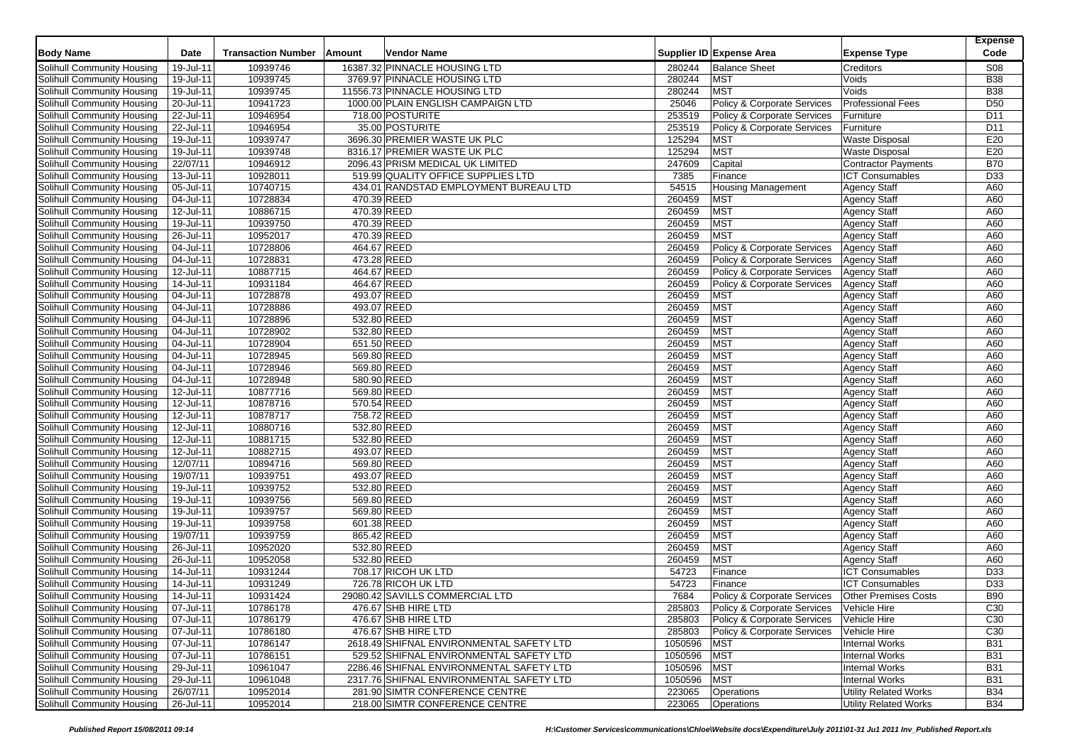| <b>Body Name</b>                  | Date         | <b>Transaction Number</b> | Amount      | Vendor Name                              |         | Supplier ID Expense Area               | <b>Expense Type</b>          | <b>Expense</b><br>Code |
|-----------------------------------|--------------|---------------------------|-------------|------------------------------------------|---------|----------------------------------------|------------------------------|------------------------|
| Solihull Community Housing        | 19-Jul-11    | 10939746                  |             | 16387.32 PINNACLE HOUSING LTD            | 280244  | <b>Balance Sheet</b>                   | Creditors                    | <b>S08</b>             |
| Solihull Community Housing        | 19-Jul-11    | 10939745                  |             | 3769.97 PINNACLE HOUSING LTD             | 280244  | MST                                    | Voids                        | <b>B38</b>             |
| Solihull Community Housing        | 19-Jul-11    | 10939745                  |             | 11556.73 PINNACLE HOUSING LTD            | 280244  | <b>MST</b>                             | Voids                        | <b>B38</b>             |
| Solihull Community Housing        | 20-Jul-11    | 10941723                  |             | 1000.00 PLAIN ENGLISH CAMPAIGN LTD       | 25046   | Policy & Corporate Services            | <b>Professional Fees</b>     | D <sub>50</sub>        |
| Solihull Community Housing        | 22-Jul-11    | 10946954                  |             | 718.00 POSTURITE                         | 253519  | <b>Policy &amp; Corporate Services</b> | Furniture                    | D <sub>11</sub>        |
| Solihull Community Housing        | 22-Jul-11    | 10946954                  |             | 35.00 POSTURITE                          | 253519  | Policy & Corporate Services            | Furniture                    | D <sub>11</sub>        |
| Solihull Community Housing        | 19-Jul-11    | 10939747                  |             | 3696.30 PREMIER WASTE UK PLC             | 125294  | <b>MST</b>                             | <b>Waste Disposal</b>        | E20                    |
| Solihull Community Housing        | 19-Jul-11    | 10939748                  |             | 8316.17 PREMIER WASTE UK PLC             | 125294  | <b>MST</b>                             | <b>Waste Disposal</b>        | E20                    |
| Solihull Community Housing        | 22/07/11     | 10946912                  |             | 2096.43 PRISM MEDICAL UK LIMITED         | 247609  | Capital                                | <b>Contractor Payments</b>   | <b>B70</b>             |
| Solihull Community Housing        | 13-Jul-11    | 10928011                  |             | 519.99 QUALITY OFFICE SUPPLIES LTD       | 7385    | Finance                                | <b>ICT Consumables</b>       | D <sub>33</sub>        |
| Solihull Community Housing        | 05-Jul-11    | 10740715                  |             | 434.01 RANDSTAD EMPLOYMENT BUREAU LTD    | 54515   | <b>Housing Management</b>              | <b>Agency Staff</b>          | A60                    |
| Solihull Community Housing        | 04-Jul-11    | 10728834                  |             | 470.39 REED                              | 260459  | <b>MST</b>                             | <b>Agency Staff</b>          | A60                    |
| Solihull Community Housing        | 12-Jul-11    | 10886715                  |             | 470.39 REED                              | 260459  | <b>MST</b>                             | <b>Agency Staff</b>          | A60                    |
| Solihull Community Housing        | 19-Jul-11    | 10939750                  | 470.39 REED |                                          | 260459  | <b>MST</b>                             | <b>Agency Staff</b>          | A60                    |
| Solihull Community Housing        | 26-Jul-11    | 10952017                  |             | 470.39 REED                              | 260459  | <b>MST</b>                             | <b>Agency Staff</b>          | A60                    |
| Solihull Community Housing        | 04-Jul-11    | 10728806                  |             | 464.67 REED                              | 260459  | Policy & Corporate Services            | <b>Agency Staff</b>          | A60                    |
| Solihull Community Housing        | 04-Jul-11    | 10728831                  |             | 473.28 REED                              | 260459  | Policy & Corporate Services            | <b>Agency Staff</b>          | A60                    |
| Solihull Community Housing        | 12-Jul-11    | 10887715                  |             | 464.67 REED                              | 260459  | Policy & Corporate Services            | <b>Agency Staff</b>          | A60                    |
| Solihull Community Housing        | 14-Jul-11    | 10931184                  |             | 464.67 REED                              | 260459  | Policy & Corporate Services            | Agency Staff                 | A60                    |
| Solihull Community Housing        | 04-Jul-11    | 10728878                  |             | 493.07 REED                              | 260459  | <b>MST</b>                             | <b>Agency Staff</b>          | A60                    |
| Solihull Community Housing        | 04-Jul-11    | 10728886                  |             | 493.07 REED                              | 260459  | <b>MST</b>                             | <b>Agency Staff</b>          | A60                    |
| Solihull Community Housing        | 04-Jul-11    | 10728896                  |             | 532.80 REED                              | 260459  | <b>MST</b>                             | <b>Agency Staff</b>          | A60                    |
| <b>Solihull Community Housing</b> | 04-Jul-11    | 10728902                  | 532.80 REED |                                          | 260459  | <b>MST</b>                             | <b>Agency Staff</b>          | A60                    |
| Solihull Community Housing        | 04-Jul-11    | 10728904                  | 651.50 REED |                                          | 260459  | <b>MST</b>                             | <b>Agency Staff</b>          | A60                    |
| Solihull Community Housing        | 04-Jul-11    | 10728945                  |             | 569.80 REED                              | 260459  | <b>MST</b>                             | <b>Agency Staff</b>          | A60                    |
| Solihull Community Housing        | 04-Jul-11    | 10728946                  |             | 569.80 REED                              | 260459  | <b>MST</b>                             | <b>Agency Staff</b>          | A60                    |
| <b>Solihull Community Housing</b> | 04-Jul-11    | 10728948                  |             | 580.90 REED                              | 260459  | <b>MST</b>                             | <b>Agency Staff</b>          | A60                    |
| Solihull Community Housing        | 12-Jul-11    | 10877716                  |             | 569.80 REED                              | 260459  | <b>MST</b>                             | <b>Agency Staff</b>          | A60                    |
| Solihull Community Housing        | 12-Jul-11    | 10878716                  |             | 570.54 REED                              | 260459  | <b>MST</b>                             | <b>Agency Staff</b>          | A60                    |
| Solihull Community Housing        | 12-Jul-11    | 10878717                  |             | 758.72 REED                              | 260459  | <b>MST</b>                             | <b>Agency Staff</b>          | A60                    |
| Solihull Community Housing        | 12-Jul-11    | 10880716                  |             | 532.80 REED                              | 260459  | <b>MST</b>                             | <b>Agency Staff</b>          | A60                    |
| Solihull Community Housing        | 12-Jul-11    | 10881715                  |             | 532.80 REED                              | 260459  | <b>MST</b>                             | <b>Agency Staff</b>          | A60                    |
| Solihull Community Housing        | 12-Jul-11    | 10882715                  |             | 493.07 REED                              | 260459  | <b>MST</b>                             | <b>Agency Staff</b>          | A60                    |
| Solihull Community Housing        | 12/07/11     | 10894716                  |             | 569.80 REED                              | 260459  | <b>MST</b>                             | <b>Agency Staff</b>          | A60                    |
| Solihull Community Housing        | 19/07/11     | 10939751                  |             | 493.07 REED                              | 260459  | <b>MST</b>                             | <b>Agency Staff</b>          | A60                    |
| Solihull Community Housing        | 19-Jul-11    | 10939752                  |             | 532.80 REED                              | 260459  | <b>MST</b>                             | <b>Agency Staff</b>          | A60                    |
| Solihull Community Housing        | 19-Jul-11    | 10939756                  | 569.80 REED |                                          | 260459  | <b>MST</b>                             | <b>Agency Staff</b>          | A60                    |
| Solihull Community Housing        | 19-Jul-11    | 10939757                  |             | 569.80 REED                              | 260459  | <b>MST</b>                             | <b>Agency Staff</b>          | A60                    |
| Solihull Community Housing        | 19-Jul-11    | 10939758                  |             | 601.38 REED                              | 260459  | <b>MST</b>                             | <b>Agency Staff</b>          | A60                    |
| Solihull Community Housing        | 19/07/11     | 10939759                  | 865.42 REED |                                          | 260459  | <b>MST</b>                             | Agency Staff                 | A60                    |
| <b>Solihull Community Housing</b> | $26$ -Jul-11 | 10952020                  |             | 532.80 REED                              | 260459  | <b>MST</b>                             | <b>Agency Staff</b>          | A60                    |
| Solihull Community Housing        | 26-Jul-11    | 10952058                  |             | 532.80 REED                              | 260459  | <b>MST</b>                             | <b>Agency Staff</b>          | A60                    |
| Solihull Community Housing        | 14-Jul-11    | 10931244                  |             | 708.17 RICOH UK LTD                      | 54723   | Finance                                | <b>ICT Consumables</b>       | D33                    |
| Solihull Community Housing        | 14-Jul-11    | 10931249                  |             | 726.78 RICOH UK LTD                      | 54723   | Finance                                | <b>ICT Consumables</b>       | D <sub>33</sub>        |
| Solihull Community Housing        | 14-Jul-11    | 10931424                  |             | 29080.42 SAVILLS COMMERCIAL LTD          | 7684    | Policy & Corporate Services            | Other Premises Costs         | <b>B90</b>             |
| Solihull Community Housing        | 07-Jul-11    | 10786178                  |             | 476.67 SHB HIRE LTD                      | 285803  | Policy & Corporate Services            | Vehicle Hire                 | C <sub>30</sub>        |
| Solihull Community Housing        | 07-Jul-11    | 10786179                  |             | 476.67 SHB HIRE LTD                      | 285803  | Policy & Corporate Services            | Vehicle Hire                 | C <sub>30</sub>        |
| Solihull Community Housing        | 07-Jul-11    | 10786180                  |             | 476.67 SHB HIRE LTD                      | 285803  | Policy & Corporate Services            | Vehicle Hire                 | C <sub>30</sub>        |
| Solihull Community Housing        | 07-Jul-11    | 10786147                  |             | 2618.49 SHIFNAL ENVIRONMENTAL SAFETY LTD | 1050596 | <b>MST</b>                             | <b>Internal Works</b>        | <b>B31</b>             |
| Solihull Community Housing        | 07-Jul-11    | 10786151                  |             | 529.52 SHIFNAL ENVIRONMENTAL SAFETY LTD  | 1050596 | <b>MST</b>                             | <b>Internal Works</b>        | <b>B31</b>             |
| Solihull Community Housing        | 29-Jul-11    | 10961047                  |             | 2286.46 SHIFNAL ENVIRONMENTAL SAFETY LTD | 1050596 | <b>MST</b>                             | <b>Internal Works</b>        | <b>B31</b>             |
| Solihull Community Housing        | 29-Jul-11    | 10961048                  |             | 2317.76 SHIFNAL ENVIRONMENTAL SAFETY LTD | 1050596 | <b>MST</b>                             | <b>Internal Works</b>        | <b>B31</b>             |
| Solihull Community Housing        | 26/07/11     | 10952014                  |             | 281.90 SIMTR CONFERENCE CENTRE           | 223065  | Operations                             | <b>Utility Related Works</b> | <b>B34</b>             |
| Solihull Community Housing        | 26-Jul-11    | 10952014                  |             | 218.00 SIMTR CONFERENCE CENTRE           | 223065  | Operations                             | <b>Utility Related Works</b> | B34                    |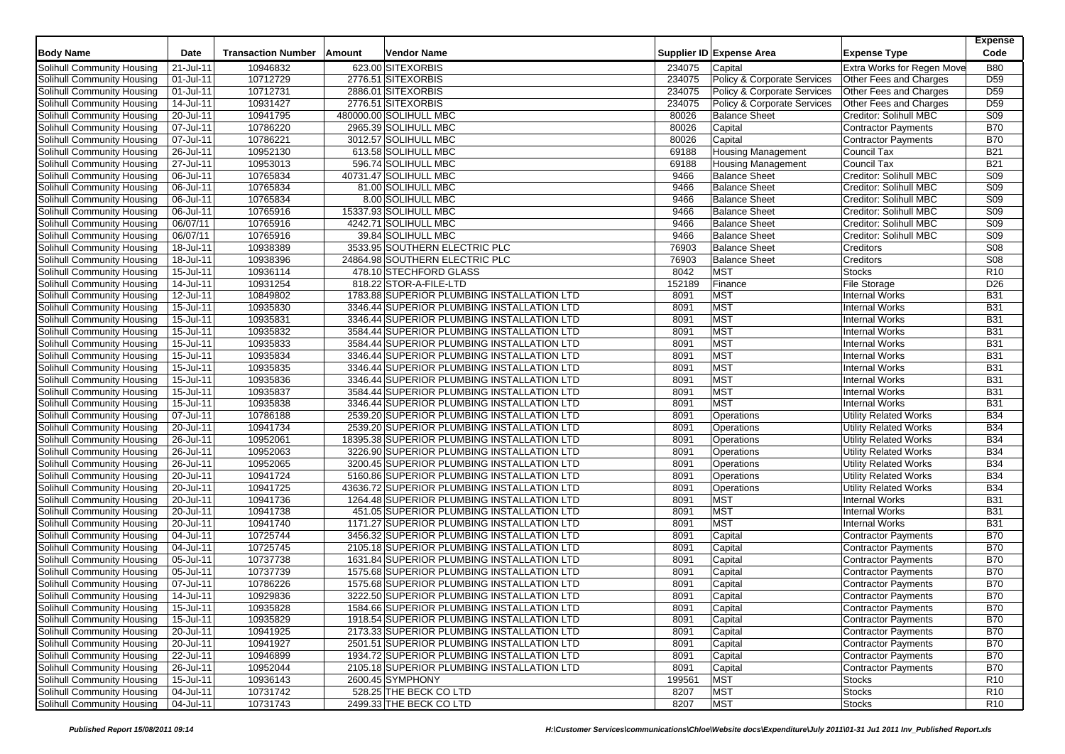| <b>Body Name</b>                  | Date           | <b>Transaction Number</b> | Amount | Vendor Name                                 |        | Supplier ID Expense Area    | <b>Expense Type</b>          | <b>Expense</b><br>Code |
|-----------------------------------|----------------|---------------------------|--------|---------------------------------------------|--------|-----------------------------|------------------------------|------------------------|
| <b>Solihull Community Housing</b> | 21-Jul-11      | 10946832                  |        | 623.00 SITEXORBIS                           | 234075 | Capital                     | Extra Works for Regen Move   | <b>B80</b>             |
| Solihull Community Housing        | 01-Jul-11      | 10712729                  |        | 2776.51 SITEXORBIS                          | 234075 | Policy & Corporate Services | Other Fees and Charges       | D <sub>59</sub>        |
| <b>Solihull Community Housing</b> | 01-Jul-11      | 10712731                  |        | 2886.01 SITEXORBIS                          | 234075 | Policy & Corporate Services | Other Fees and Charges       | D <sub>59</sub>        |
| Solihull Community Housing        | 14-Jul-11      | 10931427                  |        | 2776.51 SITEXORBIS                          | 234075 | Policy & Corporate Services | Other Fees and Charges       | D <sub>59</sub>        |
| Solihull Community Housing        | 20-Jul-11      | 10941795                  |        | 480000.00 SOLIHULL MBC                      | 80026  | <b>Balance Sheet</b>        | Creditor: Solihull MBC       | <b>S09</b>             |
| Solihull Community Housing        | 07-Jul-11      | 10786220                  |        | 2965.39 SOLIHULL MBC                        | 80026  | Capital                     | <b>Contractor Payments</b>   | <b>B70</b>             |
| Solihull Community Housing        | 07-Jul-11      | 10786221                  |        | 3012.57 SOLIHULL MBC                        | 80026  | Capital                     | <b>Contractor Payments</b>   | <b>B70</b>             |
| Solihull Community Housing        | 26-Jul-11      | 10952130                  |        | 613.58 SOLIHULL MBC                         | 69188  | <b>Housing Management</b>   | Council Tax                  | <b>B21</b>             |
| Solihull Community Housing        | 27-Jul-11      | 10953013                  |        | 596.74 SOLIHULL MBC                         | 69188  | <b>Housing Management</b>   | Council Tax                  | <b>B21</b>             |
| <b>Solihull Community Housing</b> | 06-Jul-11      | 10765834                  |        | 40731.47 SOLIHULL MBC                       | 9466   | <b>Balance Sheet</b>        | Creditor: Solihull MBC       | S <sub>09</sub>        |
| Solihull Community Housing        | 06-Jul-11      | 10765834                  |        | 81.00 SOLIHULL MBC                          | 9466   | <b>Balance Sheet</b>        | Creditor: Solihull MBC       | <b>S09</b>             |
| Solihull Community Housing        | 06-Jul-11      | 10765834                  |        | 8.00 SOLIHULL MBC                           | 9466   | <b>Balance Sheet</b>        | Creditor: Solihull MBC       | <b>S09</b>             |
| Solihull Community Housing        | 06-Jul-11      | 10765916                  |        | 15337.93 SOLIHULL MBC                       | 9466   | <b>Balance Sheet</b>        | Creditor: Solihull MBC       | <b>S09</b>             |
| Solihull Community Housing        | 06/07/11       | 10765916                  |        | 4242.71 SOLIHULL MBC                        | 9466   | <b>Balance Sheet</b>        | Creditor: Solihull MBC       | <b>S09</b>             |
| Solihull Community Housing        | 06/07/11       | 10765916                  |        | 39.84 SOLIHULL MBC                          | 9466   | <b>Balance Sheet</b>        | Creditor: Solihull MBC       | <b>S09</b>             |
| <b>Solihull Community Housing</b> | 18-Jul-11      | 10938389                  |        | 3533.95 SOUTHERN ELECTRIC PLC               | 76903  | <b>Balance Sheet</b>        | Creditors                    | <b>S08</b>             |
| Solihull Community Housing        | 18-Jul-11      | 10938396                  |        | 24864.98 SOUTHERN ELECTRIC PLC              | 76903  | <b>Balance Sheet</b>        | Creditors                    | <b>S08</b>             |
| Solihull Community Housing        | 15-Jul-11      | 10936114                  |        | 478.10 STECHFORD GLASS                      | 8042   | <b>MST</b>                  | <b>Stocks</b>                | R <sub>10</sub>        |
| Solihull Community Housing        | 14-Jul-11      | 10931254                  |        | 818.22 STOR-A-FILE-LTD                      | 152189 | Finance                     | <b>File Storage</b>          | D <sub>26</sub>        |
| Solihull Community Housing        | 12-Jul-11      | 10849802                  |        | 1783.88 SUPERIOR PLUMBING INSTALLATION LTD  | 8091   | <b>MST</b>                  | <b>Internal Works</b>        | <b>B31</b>             |
| Solihull Community Housing        | 15-Jul-11      | 10935830                  |        | 3346.44 SUPERIOR PLUMBING INSTALLATION LTD  | 8091   | <b>MST</b>                  | <b>Internal Works</b>        | <b>B31</b>             |
| Solihull Community Housing        | 15-Jul-11      | 10935831                  |        | 3346.44 SUPERIOR PLUMBING INSTALLATION LTD  | 8091   | <b>MST</b>                  | <b>Internal Works</b>        | <b>B31</b>             |
| Solihull Community Housing        | 15-Jul-11      | 10935832                  |        | 3584.44 SUPERIOR PLUMBING INSTALLATION LTD  | 8091   | <b>MST</b>                  | <b>Internal Works</b>        | <b>B31</b>             |
| Solihull Community Housing        | $15 -$ Jul-11  | 10935833                  |        | 3584.44 SUPERIOR PLUMBING INSTALLATION LTD  | 8091   | <b>MST</b>                  | <b>Internal Works</b>        | <b>B31</b>             |
| Solihull Community Housing        | 15-Jul-11      | 10935834                  |        | 3346.44 SUPERIOR PLUMBING INSTALLATION LTD  | 8091   | <b>MST</b>                  | <b>Internal Works</b>        | <b>B31</b>             |
| <b>Solihull Community Housing</b> | 15-Jul-11      | 10935835                  |        | 3346.44 SUPERIOR PLUMBING INSTALLATION LTD  | 8091   | <b>MST</b>                  | <b>Internal Works</b>        | <b>B31</b>             |
| Solihull Community Housing        | 15-Jul-11      | 10935836                  |        | 3346.44 SUPERIOR PLUMBING INSTALLATION LTD  | 8091   | <b>MST</b>                  | <b>Internal Works</b>        | <b>B31</b>             |
| Solihull Community Housing        | 15-Jul-11      | 10935837                  |        | 3584.44 SUPERIOR PLUMBING INSTALLATION LTD  | 8091   | <b>MST</b>                  | <b>Internal Works</b>        | <b>B31</b>             |
| Solihull Community Housing        | 15-Jul-11      | 10935838                  |        | 3346.44 SUPERIOR PLUMBING INSTALLATION LTD  | 8091   | <b>MST</b>                  | <b>Internal Works</b>        | <b>B31</b>             |
| Solihull Community Housing        | 07-Jul-11      | 10786188                  |        | 2539.20 SUPERIOR PLUMBING INSTALLATION LTD  | 8091   | Operations                  | <b>Utility Related Works</b> | <b>B34</b>             |
| Solihull Community Housing        | 20-Jul-11      | 10941734                  |        | 2539.20 SUPERIOR PLUMBING INSTALLATION LTD  | 8091   | Operations                  | <b>Utility Related Works</b> | <b>B34</b>             |
| Solihull Community Housing        | 26-Jul-11      | 10952061                  |        | 18395.38 SUPERIOR PLUMBING INSTALLATION LTD | 8091   | Operations                  | <b>Utility Related Works</b> | <b>B34</b>             |
| Solihull Community Housing        | 26-Jul-11      | 10952063                  |        | 3226.90 SUPERIOR PLUMBING INSTALLATION LTD  | 8091   | Operations                  | <b>Utility Related Works</b> | <b>B34</b>             |
| Solihull Community Housing        | 26-Jul-11      | 10952065                  |        | 3200.45 SUPERIOR PLUMBING INSTALLATION LTD  | 8091   | Operations                  | Utility Related Works        | <b>B34</b>             |
| Solihull Community Housing        | 20-Jul-11      | 10941724                  |        | 5160.86 SUPERIOR PLUMBING INSTALLATION LTD  | 8091   | Operations                  | <b>Utility Related Works</b> | <b>B34</b>             |
| Solihull Community Housing        | 20-Jul-11      | 10941725                  |        | 43636.72 SUPERIOR PLUMBING INSTALLATION LTD | 8091   | Operations                  | <b>Utility Related Works</b> | <b>B34</b>             |
| Solihull Community Housing        | 20-Jul-11      | 10941736                  |        | 1264.48 SUPERIOR PLUMBING INSTALLATION LTD  | 8091   | <b>MST</b>                  | <b>Internal Works</b>        | <b>B31</b>             |
| Solihull Community Housing        | 20-Jul-11      | 10941738                  |        | 451.05 SUPERIOR PLUMBING INSTALLATION LTD   | 8091   | <b>MST</b>                  | <b>Internal Works</b>        | <b>B31</b>             |
| Solihull Community Housing        | 20-Jul-11      | 10941740                  |        | 1171.27 SUPERIOR PLUMBING INSTALLATION LTD  | 8091   | <b>MST</b>                  | <b>Internal Works</b>        | <b>B31</b>             |
| Solihull Community Housing        | 04-Jul-11      | 10725744                  |        | 3456.32 SUPERIOR PLUMBING INSTALLATION LTD  | 8091   | Capital                     | <b>Contractor Payments</b>   | <b>B70</b>             |
| Solihull Community Housing        | 04-Jul-11      | 10725745                  |        | 2105.18 SUPERIOR PLUMBING INSTALLATION LTD  | 8091   | Capital                     | <b>Contractor Payments</b>   | <b>B70</b>             |
| Solihull Community Housing        | 05-Jul-11      | 10737738                  |        | 1631.84 SUPERIOR PLUMBING INSTALLATION LTD  | 8091   | Capital                     | <b>Contractor Payments</b>   | <b>B70</b>             |
| Solihull Community Housing        | 05-Jul-11      | 10737739                  |        | 1575.68 SUPERIOR PLUMBING INSTALLATION LTD  | 8091   | Capital                     | <b>Contractor Payments</b>   | <b>B70</b>             |
| Solihull Community Housing        | 07-Jul-11      | 10786226                  |        | 1575.68 SUPERIOR PLUMBING INSTALLATION LTD  | 8091   | Capital                     | Contractor Payments          | <b>B70</b>             |
| Solihull Community Housing        | 14-Jul-11      | 10929836                  |        | 3222.50 SUPERIOR PLUMBING INSTALLATION LTD  | 8091   | Capital                     | <b>Contractor Payments</b>   | <b>B70</b>             |
| Solihull Community Housing        | $ 15 -$ Jul-11 | 10935828                  |        | 1584.66 SUPERIOR PLUMBING INSTALLATION LTD  | 8091   | Capital                     | Contractor Payments          | <b>B70</b>             |
| Solihull Community Housing        | 15-Jul-11      | 10935829                  |        | 1918.54 SUPERIOR PLUMBING INSTALLATION LTD  | 8091   | Capital                     | <b>Contractor Payments</b>   | <b>B70</b>             |
| Solihull Community Housing        | 20-Jul-11      | 10941925                  |        | 2173.33 SUPERIOR PLUMBING INSTALLATION LTD  | 8091   | Capital                     | <b>Contractor Payments</b>   | <b>B70</b>             |
| Solihull Community Housing        | 20-Jul-11      | 10941927                  |        | 2501.51 SUPERIOR PLUMBING INSTALLATION LTD  | 8091   | Capital                     | <b>Contractor Payments</b>   | <b>B70</b>             |
| Solihull Community Housing        | 22-Jul-11      | 10946899                  |        | 1934.72 SUPERIOR PLUMBING INSTALLATION LTD  | 8091   | Capital                     | Contractor Payments          | <b>B70</b>             |
| Solihull Community Housing        | $26 -$ Jul-11  | 10952044                  |        | 2105.18 SUPERIOR PLUMBING INSTALLATION LTD  | 8091   | Capital                     | <b>Contractor Payments</b>   | <b>B70</b>             |
| Solihull Community Housing        | 15-Jul-11      | 10936143                  |        | 2600.45 SYMPHONY                            | 199561 | <b>MST</b>                  | Stocks                       | R <sub>10</sub>        |
| Solihull Community Housing        | 04-Jul-11      | 10731742                  |        | 528.25 THE BECK CO LTD                      | 8207   | <b>MST</b>                  | <b>Stocks</b>                | R <sub>10</sub>        |
| Solihull Community Housing        | 04-Jul-11      | 10731743                  |        | 2499.33 THE BECK CO LTD                     | 8207   | <b>MST</b>                  | <b>Stocks</b>                | R <sub>10</sub>        |